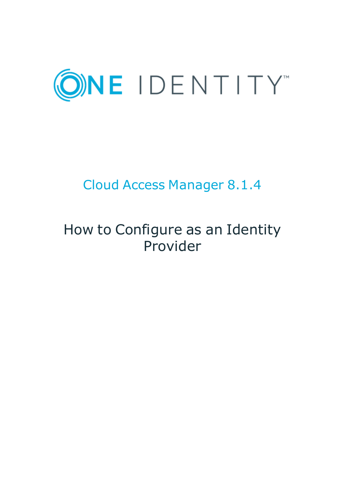

# Cloud Access Manager 8.1.4

# How to Configure as an Identity Provider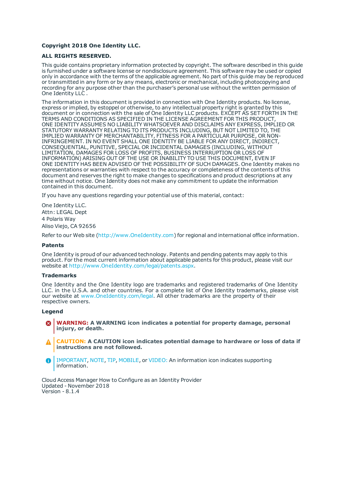#### **Copyright 2018 One Identity LLC.**

#### **ALL RIGHTS RESERVED.**

This guide contains proprietary information protected by copyright. The software described in this guide is furnished under a software license or nondisclosure agreement. This software may be used or copied only in accordance with the terms of the applicable agreement. No part of this guide may be reproduced or transmitted in any form or by any means, electronic or mechanical, including photocopying and recording for any purpose other than the purchaser's personal use without the written permission of One Identity LLC .

The information in this document is provided in connection with One Identity products. No license, express or implied, by estoppel or otherwise, to any intellectual property right is granted by this document or in connection with the sale of One Identity LLC products. EXCEPT AS SET FORTH IN THE TERMS AND CONDITIONS AS SPECIFIED IN THE LICENSE AGREEMENT FOR THIS PRODUCT, ONE IDENTITY ASSUMES NO LIABILITY WHATSOEVER AND DISCLAIMS ANY EXPRESS, IMPLIED OR STATUTORY WARRANTY RELATING TO ITS PRODUCTS INCLUDING, BUT NOT LIMITED TO, THE IMPLIED WARRANTY OF MERCHANTABILITY, FITNESS FOR A PARTICULAR PURPOSE, OR NON-INFRINGEMENT. IN NO EVENT SHALL ONE IDENTITY BE LIABLE FOR ANY DIRECT, INDIRECT, CONSEQUENTIAL, PUNITIVE, SPECIAL OR INCIDENTAL DAMAGES (INCLUDING, WITHOUT LIMITATION, DAMAGES FOR LOSS OF PROFITS, BUSINESS INTERRUPTION OR LOSS OF INFORMATION) ARISING OUT OF THE USE OR INABILITY TO USE THIS DOCUMENT, EVEN IF ONE IDENTITY HAS BEEN ADVISED OF THE POSSIBILITY OF SUCH DAMAGES. One Identity makes no representations or warranties with respect to the accuracy or completeness of the contents of this document and reserves the right to make changes to specifications and product descriptions at any time without notice. One Identity does not make any commitment to update the information contained in this document.

If you have any questions regarding your potential use of this material, contact:

One Identity LLC. Attn: LEGAL Dept 4 Polaris Way Aliso Viejo, CA 92656

Refer to our Web site ([http://www.OneIdentity.com](http://www.oneidentity.com/)) for regional and international office information.

#### **Patents**

One Identity is proud of our advanced technology. Patents and pending patents may apply to this product. For the most current information about applicable patents for this product, please visit our website at [http://www.OneIdentity.com/legal/patents.aspx](http://www.oneidentity.com/legal/patents.aspx).

#### **Trademarks**

One Identity and the One Identity logo are trademarks and registered trademarks of One Identity LLC. in the U.S.A. and other countries. For a complete list of One Identity trademarks, please visit our website at [www.OneIdentity.com/legal](http://www.oneidentity.com/legal). All other trademarks are the property of their respective owners.

#### **Legend**

- **WARNING: A WARNING icon indicates a potential for property damage, personal injury, or death.**
- **CAUTION: A CAUTION icon indicates potential damage to hardware or loss of data if instructions are not followed.**
- IMPORTANT, NOTE, TIP, MOBILE, or VIDEO: An information icon indicates supporting Œ information.

Cloud Access Manager How to Configure as an Identity Provider Updated - November 2018 Version - 8.1.4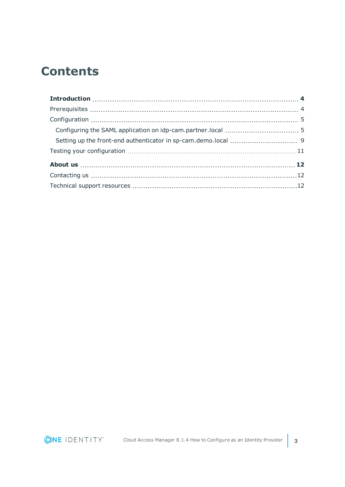## **Contents**

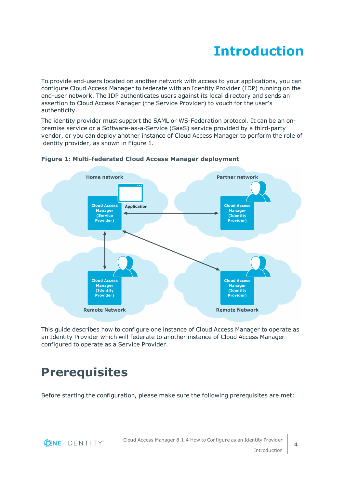# **Introduction**

<span id="page-3-0"></span>To provide end-users located on another network with access to your applications, you can configure Cloud Access Manager to federate with an Identity Provider (IDP) running on the end-user network. The IDP authenticates users against its local directory and sends an assertion to Cloud Access Manager (the Service Provider) to vouch for the user's authenticity.

The identity provider must support the SAML or WS-Federation protocol. It can be an onpremise service or a Software-as-a-Service (SaaS) service provided by a third-party vendor, or you can deploy another instance of Cloud Access Manager to perform the role of identity provider, as shown in Figure 1.



### **Figure 1: Multi-federated Cloud Access Manager deployment**

This guide describes how to configure one instance of Cloud Access Manager to operate as an Identity Provider which will federate to another instance of Cloud Access Manager configured to operate as a Service Provider.

## <span id="page-3-1"></span>**Prerequisites**

Before starting the configuration, please make sure the following prerequisites are met:

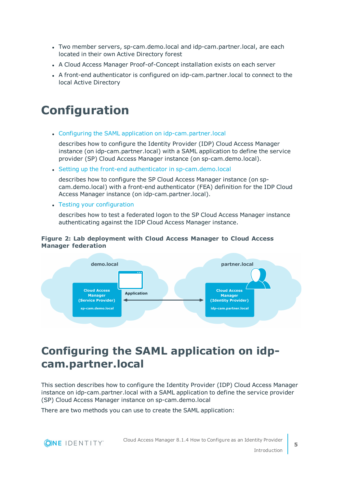- <sup>l</sup> Two member servers, sp-cam.demo.local and idp-cam.partner.local, are each located in their own Active Directory forest
- A Cloud Access Manager Proof-of-Concept installation exists on each server
- <sup>l</sup> A front-end authenticator is configured on idp-cam.partner.local to connect to the local Active Directory

## <span id="page-4-0"></span>**Configuration**

• Configuring the SAML application on [idp-cam.partner.local](#page-4-1)

describes how to configure the Identity Provider (IDP) Cloud Access Manager instance (on idp-cam.partner.local) with a SAML application to define the service provider (SP) Cloud Access Manager instance (on sp-cam.demo.local).

• Setting up the front-end authenticator in [sp-cam.demo.local](#page-8-0)

describes how to configure the SP Cloud Access Manager instance (on spcam.demo.local) with a front-end authenticator (FEA) definition for the IDP Cloud Access Manager instance (on idp-cam.partner.local).

• Testing your [configuration](#page-10-0)

describes how to test a federated logon to the SP Cloud Access Manager instance authenticating against the IDP Cloud Access Manager instance.

### **Figure 2: Lab deployment with Cloud Access Manager to Cloud Access Manager federation**



## <span id="page-4-1"></span>**Configuring the SAML application on idpcam.partner.local**

This section describes how to configure the Identity Provider (IDP) Cloud Access Manager instance on idp-cam.partner.local with a SAML application to define the service provider (SP) Cloud Access Manager instance on sp-cam.demo.local

There are two methods you can use to create the SAML application:



**5**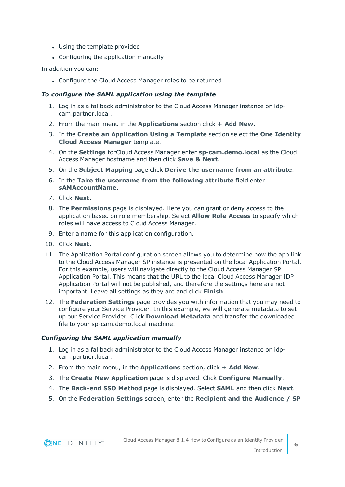- Using the template provided
- Configuring the application manually

In addition you can:

• Configure the Cloud Access Manager roles to be returned

### *To configure the SAML application using the template*

- 1. Log in as a fallback administrator to the Cloud Access Manager instance on idpcam.partner.local.
- 2. From the main menu in the **Applications** section click **+ Add New**.
- 3. In the **Create an Application Using a Template** section select the **One Identity Cloud Access Manager** template.
- 4. On the **Settings** forCloud Access Manager enter **sp-cam.demo.local** as the Cloud Access Manager hostname and then click **Save & Next**.
- 5. On the **Subject Mapping** page click **Derive the username from an attribute**.
- 6. In the **Take the username from the following attribute** field enter **sAMAccountName**.
- 7. Click **Next**.
- 8. The **Permissions** page is displayed. Here you can grant or deny access to the application based on role membership. Select **Allow Role Access** to specify which roles will have access to Cloud Access Manager.
- 9. Enter a name for this application configuration.
- 10. Click **Next**.

**ONE IDENTITY** 

- 11. The Application Portal configuration screen allows you to determine how the app link to the Cloud Access Manager SP instance is presented on the local Application Portal. For this example, users will navigate directly to the Cloud Access Manager SP Application Portal. This means that the URL to the local Cloud Access Manager IDP Application Portal will not be published, and therefore the settings here are not important. Leave all settings as they are and click **Finish**.
- 12. The **Federation Settings** page provides you with information that you may need to configure your Service Provider. In this example, we will generate metadata to set up our Service Provider. Click **Download Metadata** and transfer the downloaded file to your sp-cam.demo.local machine.

### *Configuring the SAML application manually*

- 1. Log in as a fallback administrator to the Cloud Access Manager instance on idpcam.partner.local.
- 2. From the main menu, in the **Applications** section, click **+ Add New**.
- 3. The **Create New Application** page is displayed. Click **Configure Manually**.
- 4. The **Back-end SSO Method** page is displayed. Select **SAML** and then click **Next**.
- 5. On the **Federation Settings** screen, enter the **Recipient and the Audience / SP**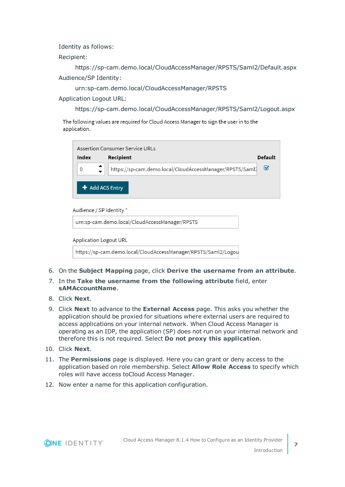Identity as follows:

Recipient:

https://sp-cam.demo.local/CloudAccessManager/RPSTS/Saml2/Default.aspx Audience/SP Identity:

urn:sp-cam.demo.local/CloudAccessManager/RPSTS

Application Logout URL:

https://sp-cam.demo.local/CloudAccessManager/RPSTS/Saml2/Logout.aspx

The following values are required for Cloud Access Manager to sign the user in to the application.

|             | Assertion Consumer Service URLs                          |         |
|-------------|----------------------------------------------------------|---------|
| Index       | Recipient                                                | Default |
| $\mathbf 0$ | https://sp-cam.demo.local/CloudAccessManager/RPSTS/Saml2 | M       |
|             | $\div$ Add ACS Entry                                     |         |

Audience / SP Identity \*

urn:sp-cam.demo.local/CloudAccessManager/RPSTS

**Application Logout URL** 

https://sp-cam.demo.local/CloudAccessManager/RPSTS/Saml2/Logou

- 6. On the **Subject Mapping** page, click **Derive the username from an attribute**.
- 7. In the **Take the username from the following attribute** field, enter **sAMAccountName**.
- 8. Click **Next**.
- 9. Click **Next** to advance to the **External Access** page. This asks you whether the application should be proxied for situations where external users are required to access applications on your internal network. When Cloud Access Manager is operating as an IDP, the application (SP) does not run on your internal network and therefore this is not required. Select **Do not proxy this application**.
- 10. Click **Next**.
- 11. The **Permissions** page is displayed. Here you can grant or deny access to the application based on role membership. Select **Allow Role Access** to specify which roles will have access toCloud Access Manager.
- 12. Now enter a name for this application configuration.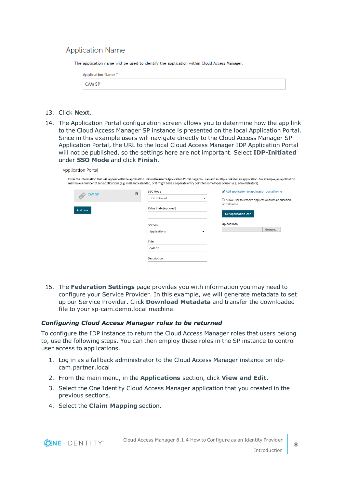### **Application Name**

The application name will be used to identify the application within Cloud Access Manager.

| Application Name * |  |
|--------------------|--|
| CAM SP             |  |

- 13. Click **Next**.
- 14. The Application Portal configuration screen allows you to determine how the app link to the Cloud Access Manager SP instance is presented on the local Application Portal. Since in this example users will navigate directly to the Cloud Access Manager SP Application Portal, the URL to the local Cloud Access Manager IDP Application Portal will not be published, so the settings here are not important. Select **IDP-Initiated** under **SSO Mode** and click **Finish**.

| <b>CAM SP</b> | 耐 | SSO Mode               | Add application to application portal home                    |
|---------------|---|------------------------|---------------------------------------------------------------|
|               |   | <b>IDP</b> Initiated   | ▼<br>$\Box$ Allow user to remove application from application |
|               |   | Relay State (optional) | portal home                                                   |
| Add Link      |   |                        | Get application icon                                          |
|               |   | Section                | Upload Icon                                                   |
|               |   | Applications           | Browse<br>▼                                                   |
|               |   | Title                  |                                                               |
|               |   | CAM SP                 |                                                               |

15. The **Federation Settings** page provides you with information you may need to configure your Service Provider. In this example, we will generate metadata to set up our Service Provider. Click **Download Metadata** and transfer the downloaded file to your sp-cam.demo.local machine.

### *Configuring Cloud Access Manager roles to be returned*

To configure the IDP instance to return the Cloud Access Manager roles that users belong to, use the following steps. You can then employ these roles in the SP instance to control user access to applications.

- 1. Log in as a fallback administrator to the Cloud Access Manager instance on idpcam.partner.local
- 2. From the main menu, in the **Applications** section, click **View and Edit**.
- 3. Select the One Identity Cloud Access Manager application that you created in the previous sections.
- 4. Select the **Claim Mapping** section.

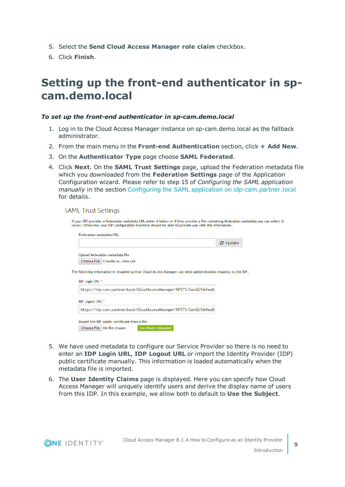- 5. Select the **Send Cloud Access Manager role claim** checkbox.
- <span id="page-8-0"></span>6. Click **Finish**.

### **Setting up the front-end authenticator in spcam.demo.local**

### *To set up the front-end authenticator in sp-cam.demo.local*

- 1. Log in to the Cloud Access Manager instance on sp-cam.demo.local as the fallback administrator.
- 2. From the main menu in the **Front-end Authentication** section, click **+ Add New**.
- 3. On the **Authenticator Type** page choose **SAML Federated**.
- 4. Click **Next**. On the **SAML Trust Settings** page, upload the Federation metadata file which you downloaded from the **Federation Settings** page of the Application Configuration wizard. Please refer to step 15 of *Configuring the SAML application manually* in the section Configuring the SAML application on [idp-cam.partner.local](#page-4-1) for details.

**SAML Trust Settings** 

| Federation metadata URL            |                                 |                                                                                                                 |                                   |  |
|------------------------------------|---------------------------------|-----------------------------------------------------------------------------------------------------------------|-----------------------------------|--|
|                                    |                                 |                                                                                                                 | $\boldsymbol{\mathcal{C}}$ Update |  |
|                                    | Upload federation metadata file |                                                                                                                 |                                   |  |
|                                    | Choose File   CloudAccedata.xml |                                                                                                                 |                                   |  |
| IDP Login URL *                    |                                 | The following information is required so that Cloud Access Manager can send authentication requests to the IDP. |                                   |  |
|                                    |                                 | https://idp-cam.partner.local/CloudAccessManager/RPSTS/Saml2/Default                                            |                                   |  |
|                                    |                                 |                                                                                                                 |                                   |  |
| <b>IDP</b> Logout URL <sup>*</sup> |                                 |                                                                                                                 |                                   |  |

- 5. We have used metadata to configure our Service Provider so there is no need to enter an **IDP Login URL**, **IDP Logout URL** or import the Identity Provider (IDP) public certificate manually. This information is loaded automatically when the metadata file is imported.
- 6. The **User Identity Claims** page is displayed. Here you can specify how Cloud Access Manager will uniquely identify users and derive the display name of users from this IDP. In this example, we allow both to default to **Use the Subject**.

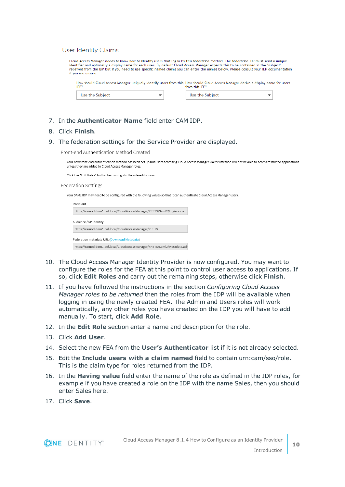#### User Identity Claims

| Cloud Access Manager needs to know how to identify users that log in by this federation method. The federation IDP must send a unique<br>identifier and optionally a display name for each user. By default Cloud Access Manager expects this to be contained in the "subject"<br>received from the IDP but if you need to use specific named claims you can enter the names below. Please consult your IDP documentation<br>if you are unsure. |                |  |
|-------------------------------------------------------------------------------------------------------------------------------------------------------------------------------------------------------------------------------------------------------------------------------------------------------------------------------------------------------------------------------------------------------------------------------------------------|----------------|--|
| How should Cloud Access Manager uniquely identify users from this How should Cloud Access Manager derive a display name for users<br>IDP?                                                                                                                                                                                                                                                                                                       | from this IDP? |  |
|                                                                                                                                                                                                                                                                                                                                                                                                                                                 |                |  |

- 7. In the **Authenticator Name** field enter CAM IDP.
- 8. Click **Finish**.
- 9. The federation settings for the Service Provider are displayed.

Front-end Authentication Method Created

Your new front-end authentication method has been set up but users accessing Cloud Access Manager via this method will not be able to access restricted applications unless they are added to Cloud Access Manager roles.

Click the "Edit Roles" button below to go to the role editor now.

#### Federation Settings

Your SAML IDP may need to be configured with the following values so that it can authenticate Cloud Access Manager users.

| Recipient                                                                |  |
|--------------------------------------------------------------------------|--|
| https://camod.dom1.def.local/CloudAccessManager/RPSTS/Saml2/Login.aspx   |  |
| Audience / SP Identity                                                   |  |
| https://camod.dom1.def.local/CloudAccessManager/RPSTS                    |  |
| Federation metadata URL (Download Metadata)                              |  |
| https://camod.dom1.def.local/CloudAccessManager/RPSTS/Saml2/Metadata.ash |  |

- 10. The Cloud Access Manager Identity Provider is now configured. You may want to configure the roles for the FEA at this point to control user access to applications. If so, click **Edit Roles** and carry out the remaining steps, otherwise click **Finish**.
- 11. If you have followed the instructions in the section *Configuring Cloud Access Manager roles to be returned* then the roles from the IDP will be available when logging in using the newly created FEA. The Admin and Users roles will work automatically, any other roles you have created on the IDP you will have to add manually. To start, click **Add Role**.
- 12. In the **Edit Role** section enter a name and description for the role.
- 13. Click **Add User**.
- 14. Select the new FEA from the **User's Authenticator** list if it is not already selected.
- 15. Edit the **Include users with a claim named** field to contain urn:cam/sso/role. This is the claim type for roles returned from the IDP.
- 16. In the **Having value** field enter the name of the role as defined in the IDP roles, for example if you have created a role on the IDP with the name Sales, then you should enter Sales here.
- 17. Click **Save**.



**10**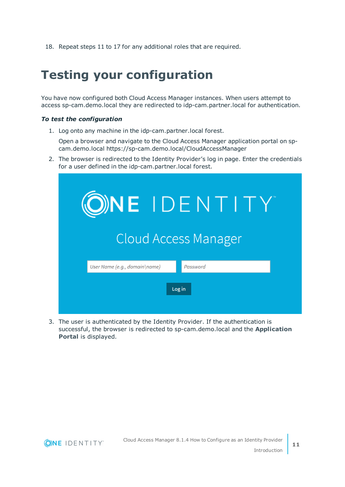<span id="page-10-0"></span>18. Repeat steps 11 to 17 for any additional roles that are required.

## **Testing your configuration**

You have now configured both Cloud Access Manager instances. When users attempt to access sp-cam.demo.local they are redirected to idp-cam.partner.local for authentication.

### *To test the configuration*

1. Log onto any machine in the idp-cam.partner.local forest.

Open a browser and navigate to the Cloud Access Manager application portal on spcam.demo.local https://sp-cam.demo.local/CloudAccessManager

2. The browser is redirected to the Identity Provider's log in page. Enter the credentials for a user defined in the idp-cam.partner.local forest.

| <b>ONE IDENTITY</b>                       |
|-------------------------------------------|
| <b>Cloud Access Manager</b>               |
| User Name (e.g., domain\name)<br>Password |
| Log in                                    |

3. The user is authenticated by the Identity Provider. If the authentication is successful, the browser is redirected to sp-cam.demo.local and the **Application Portal** is displayed.